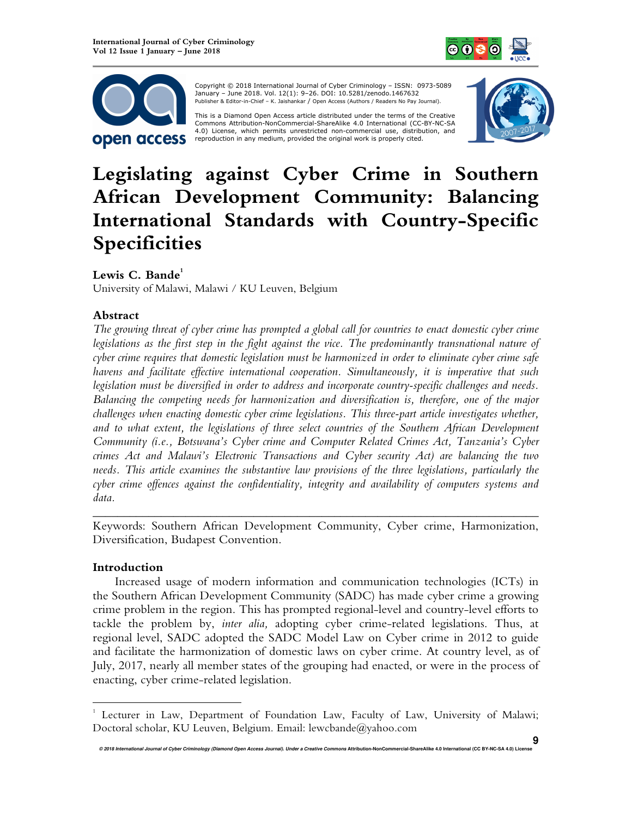



 Copyright © 2018 International Journal of Cyber Criminology – ISSN: 0973-5089 January – June 2018. Vol. 12(1): 9–26. DOI: 10.5281/zenodo.1467632 Publisher & Editor-in-Chief – K. Jaishankar / Open Access (Authors / Readers No Pay Journal).

This is a Diamond Open Access article distributed under the terms of the Creative<br>Commons Attribution-NonCommercial-ShareAlike 4.0 International (CC-BY-NC-SA 4.0) License, which permits unrestricted non-commercial use, distribution, and reproduction in any medium, provided the original work is properly cited.



**9**

# **Legislating against Cyber Crime in Southern African Development Community: Balancing International Standards with Country-Specific Specificities**

# Lewis C. Bande<sup>1</sup>

University of Malawi, Malawi / KU Leuven, Belgium

# **Abstract**

*The growing threat of cyber crime has prompted a global call for countries to enact domestic cyber crime legislations as the first step in the fight against the vice. The predominantly transnational nature of cyber crime requires that domestic legislation must be harmonized in order to eliminate cyber crime safe havens and facilitate effective international cooperation. Simultaneously, it is imperative that such legislation must be diversified in order to address and incorporate country-specific challenges and needs. Balancing the competing needs for harmonization and diversification is, therefore, one of the major challenges when enacting domestic cyber crime legislations. This three-part article investigates whether, and to what extent, the legislations of three select countries of the Southern African Development Community (i.e., Botswana's Cyber crime and Computer Related Crimes Act, Tanzania's Cyber crimes Act and Malawi's Electronic Transactions and Cyber security Act) are balancing the two needs. This article examines the substantive law provisions of the three legislations, particularly the cyber crime offences against the confidentiality, integrity and availability of computers systems and data.* 

Keywords: Southern African Development Community, Cyber crime, Harmonization, Diversification, Budapest Convention.

*\_\_\_\_\_\_\_\_\_\_\_\_\_\_\_\_\_\_\_\_\_\_\_\_\_\_\_\_\_\_\_\_\_\_\_\_\_\_\_\_\_\_\_\_\_\_\_\_\_\_\_\_\_\_\_\_\_\_\_\_\_\_\_\_\_\_\_\_\_\_\_\_* 

## **Introduction**

 $\overline{a}$ 

Increased usage of modern information and communication technologies (ICTs) in the Southern African Development Community (SADC) has made cyber crime a growing crime problem in the region. This has prompted regional-level and country-level efforts to tackle the problem by, *inter alia,* adopting cyber crime-related legislations. Thus, at regional level, SADC adopted the SADC Model Law on Cyber crime in 2012 to guide and facilitate the harmonization of domestic laws on cyber crime. At country level, as of July, 2017, nearly all member states of the grouping had enacted, or were in the process of enacting, cyber crime-related legislation.

<sup>1</sup> Lecturer in Law, Department of Foundation Law, Faculty of Law, University of Malawi; Doctoral scholar, KU Leuven, Belgium. Email: lewcbande@yahoo.com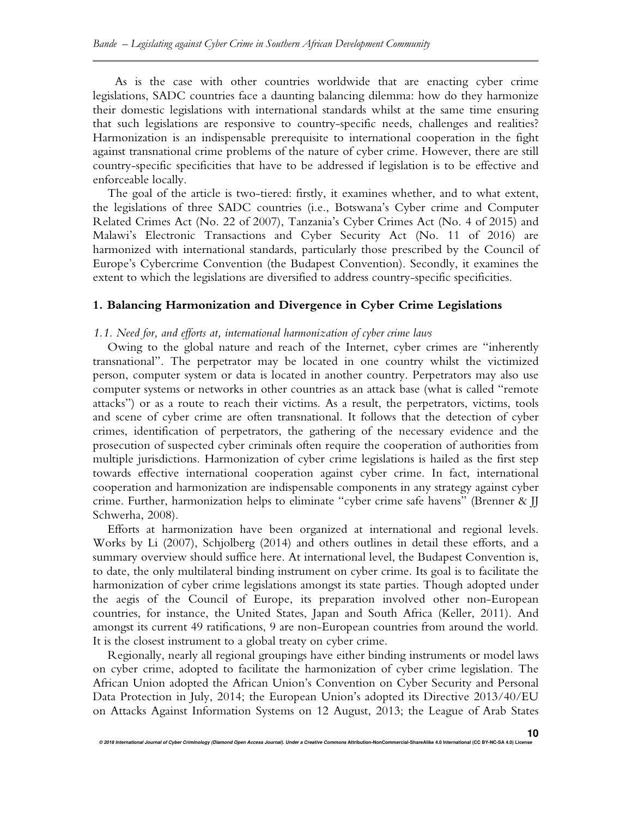As is the case with other countries worldwide that are enacting cyber crime legislations, SADC countries face a daunting balancing dilemma: how do they harmonize their domestic legislations with international standards whilst at the same time ensuring that such legislations are responsive to country-specific needs, challenges and realities? Harmonization is an indispensable prerequisite to international cooperation in the fight against transnational crime problems of the nature of cyber crime. However, there are still country-specific specificities that have to be addressed if legislation is to be effective and enforceable locally.

The goal of the article is two-tiered: firstly, it examines whether, and to what extent, the legislations of three SADC countries (i.e., Botswana's Cyber crime and Computer Related Crimes Act (No. 22 of 2007), Tanzania's Cyber Crimes Act (No. 4 of 2015) and Malawi's Electronic Transactions and Cyber Security Act (No. 11 of 2016) are harmonized with international standards, particularly those prescribed by the Council of Europe's Cybercrime Convention (the Budapest Convention). Secondly, it examines the extent to which the legislations are diversified to address country-specific specificities.

### **1. Balancing Harmonization and Divergence in Cyber Crime Legislations**

### *1.1. Need for, and efforts at, international harmonization of cyber crime laws*

Owing to the global nature and reach of the Internet, cyber crimes are "inherently transnational". The perpetrator may be located in one country whilst the victimized person, computer system or data is located in another country. Perpetrators may also use computer systems or networks in other countries as an attack base (what is called "remote attacks") or as a route to reach their victims. As a result, the perpetrators, victims, tools and scene of cyber crime are often transnational. It follows that the detection of cyber crimes, identification of perpetrators, the gathering of the necessary evidence and the prosecution of suspected cyber criminals often require the cooperation of authorities from multiple jurisdictions. Harmonization of cyber crime legislations is hailed as the first step towards effective international cooperation against cyber crime. In fact, international cooperation and harmonization are indispensable components in any strategy against cyber crime. Further, harmonization helps to eliminate "cyber crime safe havens" (Brenner & JJ Schwerha, 2008).

Efforts at harmonization have been organized at international and regional levels. Works by Li (2007), Schjolberg (2014) and others outlines in detail these efforts, and a summary overview should suffice here. At international level, the Budapest Convention is, to date, the only multilateral binding instrument on cyber crime. Its goal is to facilitate the harmonization of cyber crime legislations amongst its state parties. Though adopted under the aegis of the Council of Europe, its preparation involved other non-European countries, for instance, the United States, Japan and South Africa (Keller, 2011). And amongst its current 49 ratifications, 9 are non-European countries from around the world. It is the closest instrument to a global treaty on cyber crime.

Regionally, nearly all regional groupings have either binding instruments or model laws on cyber crime, adopted to facilitate the harmonization of cyber crime legislation. The African Union adopted the African Union's Convention on Cyber Security and Personal Data Protection in July, 2014; the European Union's adopted its Directive 2013/40/EU on Attacks Against Information Systems on 12 August, 2013; the League of Arab States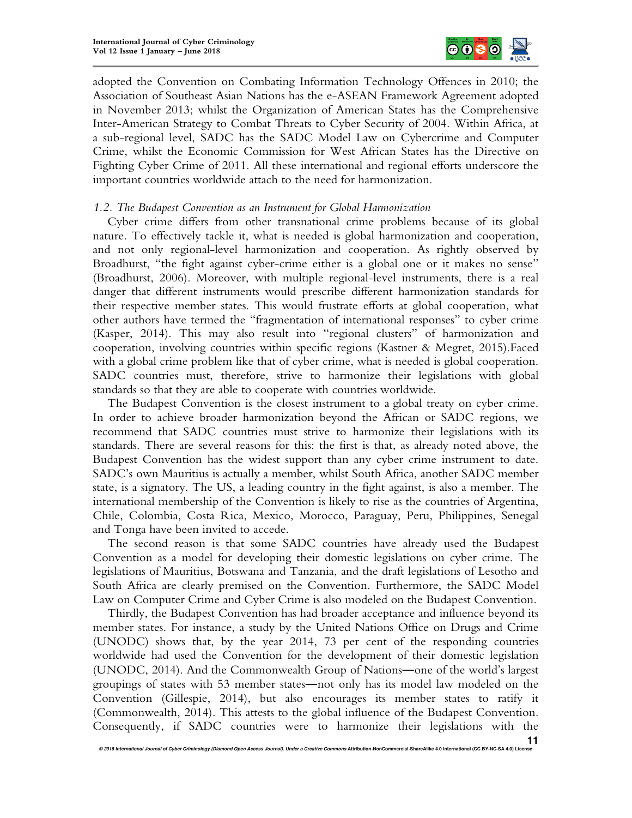

adopted the Convention on Combating Information Technology Offences in 2010; the Association of Southeast Asian Nations has the e-ASEAN Framework Agreement adopted in November 2013; whilst the Organization of American States has the Comprehensive Inter-American Strategy to Combat Threats to Cyber Security of 2004. Within Africa, at a sub-regional level, SADC has the SADC Model Law on Cybercrime and Computer Crime, whilst the Economic Commission for West African States has the Directive on Fighting Cyber Crime of 2011. All these international and regional efforts underscore the important countries worldwide attach to the need for harmonization.

## *1.2. The Budapest Convention as an Instrument for Global Harmonization*

Cyber crime differs from other transnational crime problems because of its global nature. To effectively tackle it, what is needed is global harmonization and cooperation, and not only regional-level harmonization and cooperation. As rightly observed by Broadhurst, "the fight against cyber-crime either is a global one or it makes no sense" (Broadhurst, 2006). Moreover, with multiple regional-level instruments, there is a real danger that different instruments would prescribe different harmonization standards for their respective member states. This would frustrate efforts at global cooperation, what other authors have termed the "fragmentation of international responses" to cyber crime (Kasper, 2014). This may also result into "regional clusters" of harmonization and cooperation, involving countries within specific regions (Kastner & Megret, 2015).Faced with a global crime problem like that of cyber crime, what is needed is global cooperation. SADC countries must, therefore, strive to harmonize their legislations with global standards so that they are able to cooperate with countries worldwide.

The Budapest Convention is the closest instrument to a global treaty on cyber crime. In order to achieve broader harmonization beyond the African or SADC regions, we recommend that SADC countries must strive to harmonize their legislations with its standards. There are several reasons for this: the first is that, as already noted above, the Budapest Convention has the widest support than any cyber crime instrument to date. SADC's own Mauritius is actually a member, whilst South Africa, another SADC member state, is a signatory. The US, a leading country in the fight against, is also a member. The international membership of the Convention is likely to rise as the countries of Argentina, Chile, Colombia, Costa Rica, Mexico, Morocco, Paraguay, Peru, Philippines, Senegal and Tonga have been invited to accede.

The second reason is that some SADC countries have already used the Budapest Convention as a model for developing their domestic legislations on cyber crime. The legislations of Mauritius, Botswana and Tanzania, and the draft legislations of Lesotho and South Africa are clearly premised on the Convention. Furthermore, the SADC Model Law on Computer Crime and Cyber Crime is also modeled on the Budapest Convention.

Thirdly, the Budapest Convention has had broader acceptance and influence beyond its member states. For instance, a study by the United Nations Office on Drugs and Crime (UNODC) shows that, by the year 2014, 73 per cent of the responding countries worldwide had used the Convention for the development of their domestic legislation (UNODC, 2014). And the Commonwealth Group of Nations―one of the world's largest groupings of states with 53 member states―not only has its model law modeled on the Convention (Gillespie, 2014), but also encourages its member states to ratify it (Commonwealth, 2014). This attests to the global influence of the Budapest Convention. Consequently, if SADC countries were to harmonize their legislations with the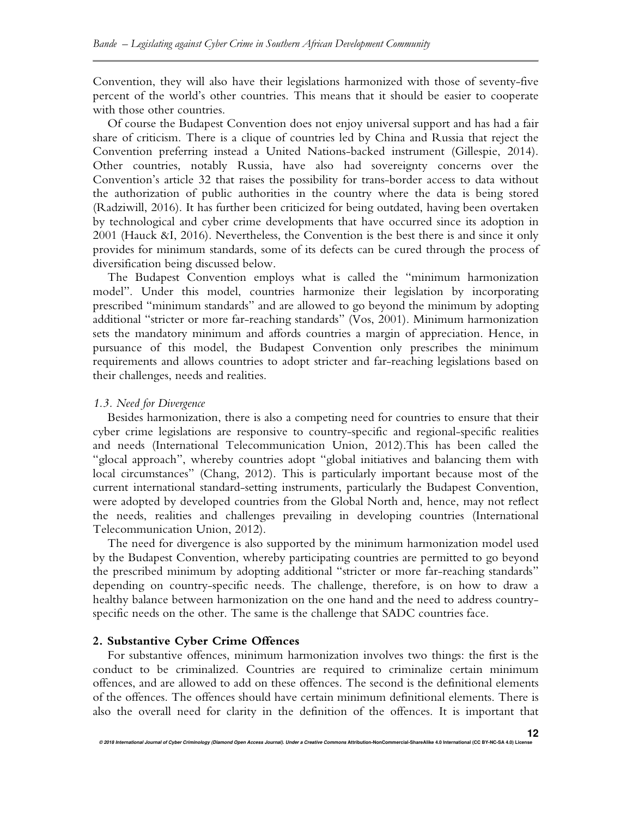Convention, they will also have their legislations harmonized with those of seventy-five percent of the world's other countries. This means that it should be easier to cooperate with those other countries.

Of course the Budapest Convention does not enjoy universal support and has had a fair share of criticism. There is a clique of countries led by China and Russia that reject the Convention preferring instead a United Nations-backed instrument (Gillespie, 2014). Other countries, notably Russia, have also had sovereignty concerns over the Convention's article 32 that raises the possibility for trans-border access to data without the authorization of public authorities in the country where the data is being stored (Radziwill, 2016). It has further been criticized for being outdated, having been overtaken by technological and cyber crime developments that have occurred since its adoption in 2001 (Hauck &I, 2016). Nevertheless, the Convention is the best there is and since it only provides for minimum standards, some of its defects can be cured through the process of diversification being discussed below.

The Budapest Convention employs what is called the "minimum harmonization model". Under this model, countries harmonize their legislation by incorporating prescribed "minimum standards" and are allowed to go beyond the minimum by adopting additional "stricter or more far-reaching standards" (Vos, 2001). Minimum harmonization sets the mandatory minimum and affords countries a margin of appreciation. Hence, in pursuance of this model, the Budapest Convention only prescribes the minimum requirements and allows countries to adopt stricter and far-reaching legislations based on their challenges, needs and realities.

#### *1.3. Need for Divergence*

Besides harmonization, there is also a competing need for countries to ensure that their cyber crime legislations are responsive to country-specific and regional-specific realities and needs (International Telecommunication Union, 2012).This has been called the "glocal approach", whereby countries adopt "global initiatives and balancing them with local circumstances" (Chang, 2012). This is particularly important because most of the current international standard-setting instruments, particularly the Budapest Convention, were adopted by developed countries from the Global North and, hence, may not reflect the needs, realities and challenges prevailing in developing countries (International Telecommunication Union, 2012).

The need for divergence is also supported by the minimum harmonization model used by the Budapest Convention, whereby participating countries are permitted to go beyond the prescribed minimum by adopting additional "stricter or more far-reaching standards" depending on country-specific needs. The challenge, therefore, is on how to draw a healthy balance between harmonization on the one hand and the need to address countryspecific needs on the other. The same is the challenge that SADC countries face.

## **2. Substantive Cyber Crime Offences**

For substantive offences, minimum harmonization involves two things: the first is the conduct to be criminalized. Countries are required to criminalize certain minimum offences, and are allowed to add on these offences. The second is the definitional elements of the offences. The offences should have certain minimum definitional elements. There is also the overall need for clarity in the definition of the offences. It is important that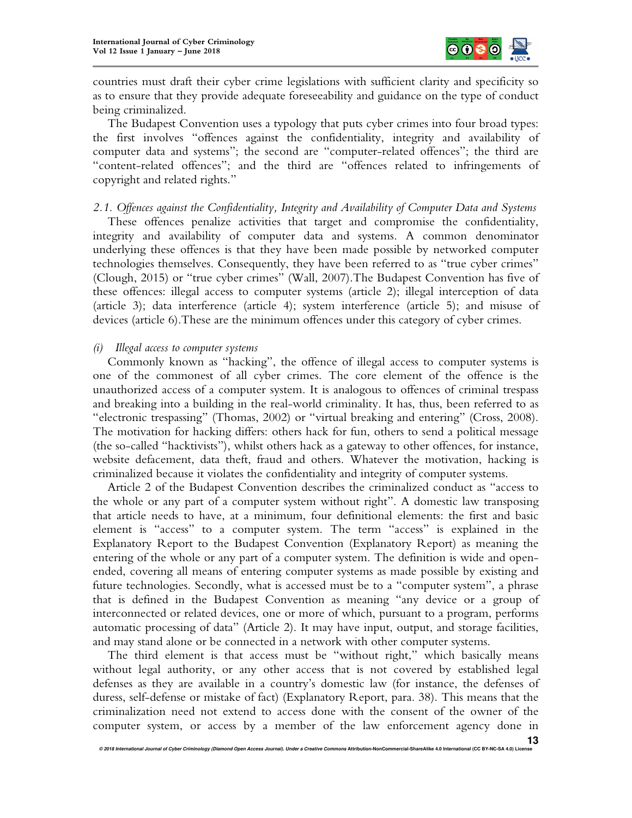

countries must draft their cyber crime legislations with sufficient clarity and specificity so as to ensure that they provide adequate foreseeability and guidance on the type of conduct being criminalized.

The Budapest Convention uses a typology that puts cyber crimes into four broad types: the first involves "offences against the confidentiality, integrity and availability of computer data and systems"; the second are "computer-related offences"; the third are "content-related offences"; and the third are "offences related to infringements of copyright and related rights."

*2.1. Offences against the Confidentiality, Integrity and Availability of Computer Data and Systems* 

These offences penalize activities that target and compromise the confidentiality, integrity and availability of computer data and systems. A common denominator underlying these offences is that they have been made possible by networked computer technologies themselves. Consequently, they have been referred to as "true cyber crimes" (Clough, 2015) or "true cyber crimes" (Wall, 2007).The Budapest Convention has five of these offences: illegal access to computer systems (article 2); illegal interception of data (article 3); data interference (article 4); system interference (article 5); and misuse of devices (article 6).These are the minimum offences under this category of cyber crimes.

## *(i) Illegal access to computer systems*

Commonly known as "hacking", the offence of illegal access to computer systems is one of the commonest of all cyber crimes. The core element of the offence is the unauthorized access of a computer system. It is analogous to offences of criminal trespass and breaking into a building in the real-world criminality. It has, thus, been referred to as "electronic trespassing" (Thomas, 2002) or "virtual breaking and entering" (Cross, 2008). The motivation for hacking differs: others hack for fun, others to send a political message (the so-called "hacktivists"), whilst others hack as a gateway to other offences, for instance, website defacement, data theft, fraud and others. Whatever the motivation, hacking is criminalized because it violates the confidentiality and integrity of computer systems.

Article 2 of the Budapest Convention describes the criminalized conduct as "access to the whole or any part of a computer system without right". A domestic law transposing that article needs to have, at a minimum, four definitional elements: the first and basic element is "access" to a computer system. The term "access" is explained in the Explanatory Report to the Budapest Convention (Explanatory Report) as meaning the entering of the whole or any part of a computer system. The definition is wide and openended, covering all means of entering computer systems as made possible by existing and future technologies. Secondly, what is accessed must be to a "computer system", a phrase that is defined in the Budapest Convention as meaning "any device or a group of interconnected or related devices, one or more of which, pursuant to a program, performs automatic processing of data" (Article 2). It may have input, output, and storage facilities, and may stand alone or be connected in a network with other computer systems.

The third element is that access must be "without right," which basically means without legal authority, or any other access that is not covered by established legal defenses as they are available in a country's domestic law (for instance, the defenses of duress, self-defense or mistake of fact) (Explanatory Report, para. 38). This means that the criminalization need not extend to access done with the consent of the owner of the computer system, or access by a member of the law enforcement agency done in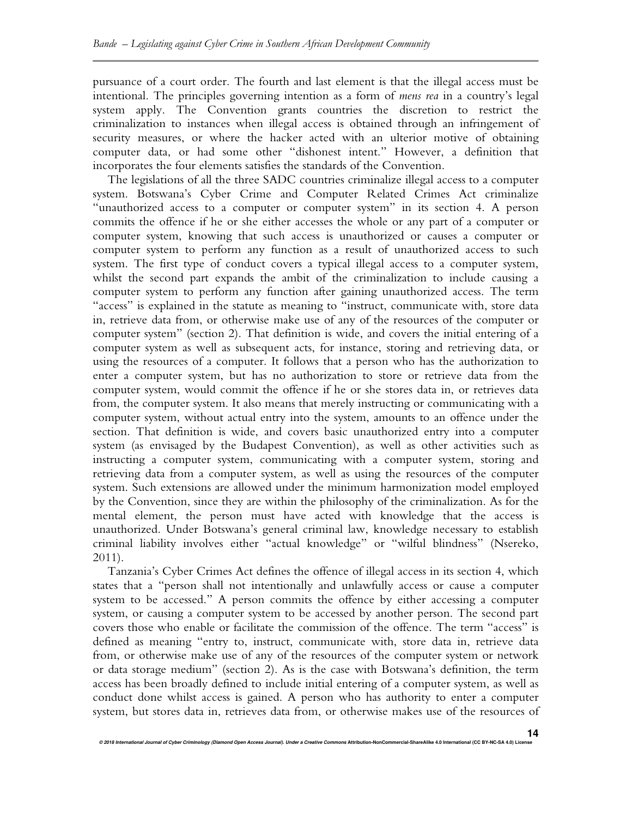pursuance of a court order. The fourth and last element is that the illegal access must be intentional. The principles governing intention as a form of *mens rea* in a country's legal system apply. The Convention grants countries the discretion to restrict the criminalization to instances when illegal access is obtained through an infringement of security measures, or where the hacker acted with an ulterior motive of obtaining computer data, or had some other "dishonest intent." However, a definition that incorporates the four elements satisfies the standards of the Convention.

The legislations of all the three SADC countries criminalize illegal access to a computer system. Botswana's Cyber Crime and Computer Related Crimes Act criminalize "unauthorized access to a computer or computer system" in its section 4. A person commits the offence if he or she either accesses the whole or any part of a computer or computer system, knowing that such access is unauthorized or causes a computer or computer system to perform any function as a result of unauthorized access to such system. The first type of conduct covers a typical illegal access to a computer system, whilst the second part expands the ambit of the criminalization to include causing a computer system to perform any function after gaining unauthorized access. The term "access" is explained in the statute as meaning to "instruct, communicate with, store data in, retrieve data from, or otherwise make use of any of the resources of the computer or computer system" (section 2). That definition is wide, and covers the initial entering of a computer system as well as subsequent acts, for instance, storing and retrieving data, or using the resources of a computer. It follows that a person who has the authorization to enter a computer system, but has no authorization to store or retrieve data from the computer system, would commit the offence if he or she stores data in, or retrieves data from, the computer system. It also means that merely instructing or communicating with a computer system, without actual entry into the system, amounts to an offence under the section. That definition is wide, and covers basic unauthorized entry into a computer system (as envisaged by the Budapest Convention), as well as other activities such as instructing a computer system, communicating with a computer system, storing and retrieving data from a computer system, as well as using the resources of the computer system. Such extensions are allowed under the minimum harmonization model employed by the Convention, since they are within the philosophy of the criminalization. As for the mental element, the person must have acted with knowledge that the access is unauthorized. Under Botswana's general criminal law, knowledge necessary to establish criminal liability involves either "actual knowledge" or "wilful blindness" (Nsereko, 2011).

Tanzania's Cyber Crimes Act defines the offence of illegal access in its section 4, which states that a "person shall not intentionally and unlawfully access or cause a computer system to be accessed." A person commits the offence by either accessing a computer system, or causing a computer system to be accessed by another person. The second part covers those who enable or facilitate the commission of the offence. The term "access" is defined as meaning "entry to, instruct, communicate with, store data in, retrieve data from, or otherwise make use of any of the resources of the computer system or network or data storage medium" (section 2). As is the case with Botswana's definition, the term access has been broadly defined to include initial entering of a computer system, as well as conduct done whilst access is gained. A person who has authority to enter a computer system, but stores data in, retrieves data from, or otherwise makes use of the resources of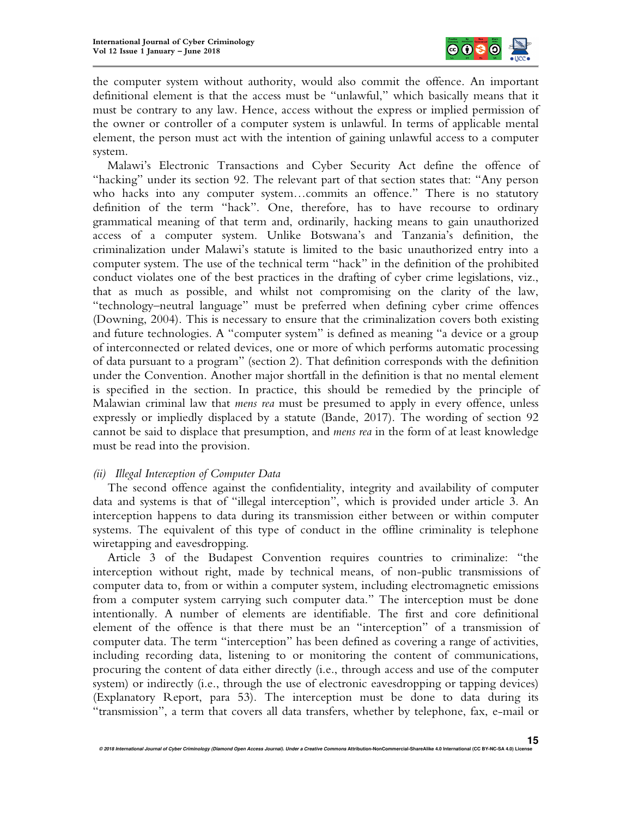

the computer system without authority, would also commit the offence. An important definitional element is that the access must be "unlawful," which basically means that it must be contrary to any law. Hence, access without the express or implied permission of the owner or controller of a computer system is unlawful. In terms of applicable mental element, the person must act with the intention of gaining unlawful access to a computer system.

Malawi's Electronic Transactions and Cyber Security Act define the offence of "hacking" under its section 92. The relevant part of that section states that: "Any person who hacks into any computer system…commits an offence." There is no statutory definition of the term "hack". One, therefore, has to have recourse to ordinary grammatical meaning of that term and, ordinarily, hacking means to gain unauthorized access of a computer system. Unlike Botswana's and Tanzania's definition, the criminalization under Malawi's statute is limited to the basic unauthorized entry into a computer system. The use of the technical term "hack" in the definition of the prohibited conduct violates one of the best practices in the drafting of cyber crime legislations, viz., that as much as possible, and whilst not compromising on the clarity of the law, "technology–neutral language" must be preferred when defining cyber crime offences (Downing, 2004). This is necessary to ensure that the criminalization covers both existing and future technologies. A "computer system" is defined as meaning "a device or a group of interconnected or related devices, one or more of which performs automatic processing of data pursuant to a program" (section 2). That definition corresponds with the definition under the Convention. Another major shortfall in the definition is that no mental element is specified in the section. In practice, this should be remedied by the principle of Malawian criminal law that *mens rea* must be presumed to apply in every offence, unless expressly or impliedly displaced by a statute (Bande, 2017). The wording of section 92 cannot be said to displace that presumption, and *mens rea* in the form of at least knowledge must be read into the provision.

# *(ii) Illegal Interception of Computer Data*

The second offence against the confidentiality, integrity and availability of computer data and systems is that of "illegal interception", which is provided under article 3. An interception happens to data during its transmission either between or within computer systems. The equivalent of this type of conduct in the offline criminality is telephone wiretapping and eavesdropping.

Article 3 of the Budapest Convention requires countries to criminalize: "the interception without right, made by technical means, of non-public transmissions of computer data to, from or within a computer system, including electromagnetic emissions from a computer system carrying such computer data." The interception must be done intentionally. A number of elements are identifiable. The first and core definitional element of the offence is that there must be an "interception" of a transmission of computer data. The term "interception" has been defined as covering a range of activities, including recording data, listening to or monitoring the content of communications, procuring the content of data either directly (i.e., through access and use of the computer system) or indirectly (i.e., through the use of electronic eavesdropping or tapping devices) (Explanatory Report, para 53). The interception must be done to data during its "transmission", a term that covers all data transfers, whether by telephone, fax, e-mail or

**© 2018 International Journal of Cyber Criminology (Diamond Open Access Journal). Under a Creative Commons Attribution-NonCommercial-ShareAlike 4.0 International (CC BY-NC-SA 4.0) License**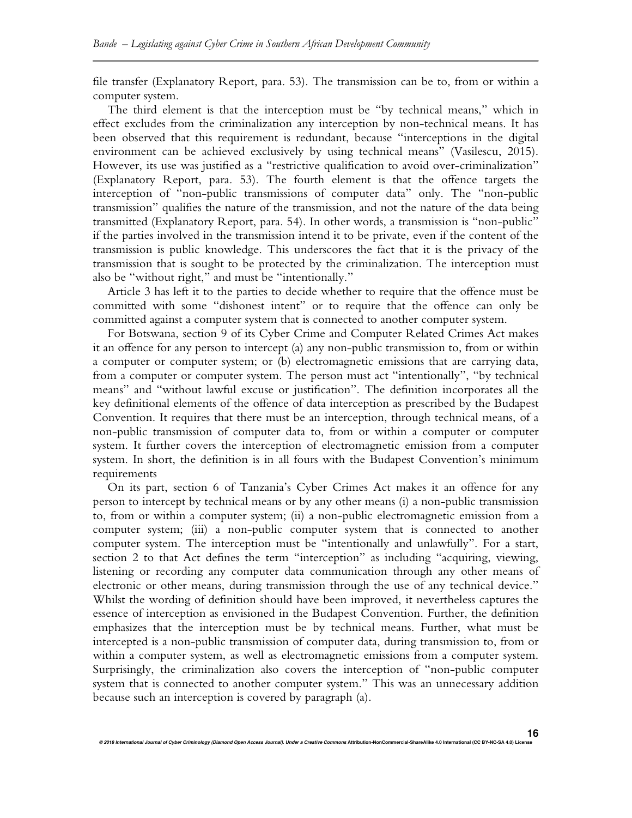file transfer (Explanatory Report, para. 53). The transmission can be to, from or within a computer system.

The third element is that the interception must be "by technical means," which in effect excludes from the criminalization any interception by non-technical means. It has been observed that this requirement is redundant, because "interceptions in the digital environment can be achieved exclusively by using technical means" (Vasilescu, 2015). However, its use was justified as a "restrictive qualification to avoid over-criminalization" (Explanatory Report, para. 53). The fourth element is that the offence targets the interception of "non-public transmissions of computer data" only. The "non-public transmission" qualifies the nature of the transmission, and not the nature of the data being transmitted (Explanatory Report, para. 54). In other words, a transmission is "non-public" if the parties involved in the transmission intend it to be private, even if the content of the transmission is public knowledge. This underscores the fact that it is the privacy of the transmission that is sought to be protected by the criminalization. The interception must also be "without right," and must be "intentionally."

Article 3 has left it to the parties to decide whether to require that the offence must be committed with some "dishonest intent" or to require that the offence can only be committed against a computer system that is connected to another computer system.

For Botswana, section 9 of its Cyber Crime and Computer Related Crimes Act makes it an offence for any person to intercept (a) any non-public transmission to, from or within a computer or computer system; or (b) electromagnetic emissions that are carrying data, from a computer or computer system. The person must act "intentionally", "by technical means" and "without lawful excuse or justification". The definition incorporates all the key definitional elements of the offence of data interception as prescribed by the Budapest Convention. It requires that there must be an interception, through technical means, of a non-public transmission of computer data to, from or within a computer or computer system. It further covers the interception of electromagnetic emission from a computer system. In short, the definition is in all fours with the Budapest Convention's minimum requirements

On its part, section 6 of Tanzania's Cyber Crimes Act makes it an offence for any person to intercept by technical means or by any other means (i) a non-public transmission to, from or within a computer system; (ii) a non-public electromagnetic emission from a computer system; (iii) a non-public computer system that is connected to another computer system. The interception must be "intentionally and unlawfully". For a start, section 2 to that Act defines the term "interception" as including "acquiring, viewing, listening or recording any computer data communication through any other means of electronic or other means, during transmission through the use of any technical device." Whilst the wording of definition should have been improved, it nevertheless captures the essence of interception as envisioned in the Budapest Convention. Further, the definition emphasizes that the interception must be by technical means. Further, what must be intercepted is a non-public transmission of computer data, during transmission to, from or within a computer system, as well as electromagnetic emissions from a computer system. Surprisingly, the criminalization also covers the interception of "non-public computer system that is connected to another computer system." This was an unnecessary addition because such an interception is covered by paragraph (a).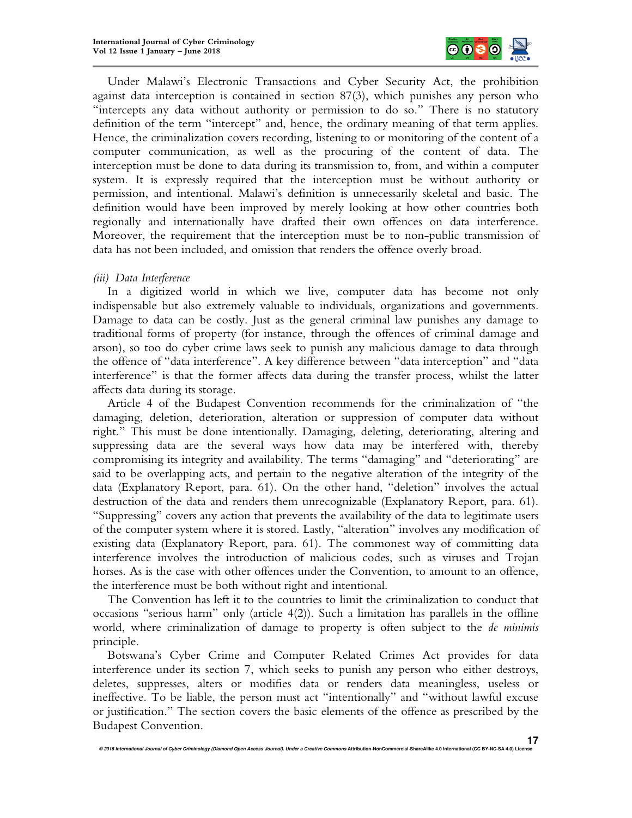

Under Malawi's Electronic Transactions and Cyber Security Act, the prohibition against data interception is contained in section 87(3), which punishes any person who "intercepts any data without authority or permission to do so." There is no statutory definition of the term "intercept" and, hence, the ordinary meaning of that term applies. Hence, the criminalization covers recording, listening to or monitoring of the content of a computer communication, as well as the procuring of the content of data. The interception must be done to data during its transmission to, from, and within a computer system. It is expressly required that the interception must be without authority or permission, and intentional. Malawi's definition is unnecessarily skeletal and basic. The definition would have been improved by merely looking at how other countries both regionally and internationally have drafted their own offences on data interference. Moreover, the requirement that the interception must be to non-public transmission of data has not been included, and omission that renders the offence overly broad.

*(iii) Data Interference* 

In a digitized world in which we live, computer data has become not only indispensable but also extremely valuable to individuals, organizations and governments. Damage to data can be costly. Just as the general criminal law punishes any damage to traditional forms of property (for instance, through the offences of criminal damage and arson), so too do cyber crime laws seek to punish any malicious damage to data through the offence of "data interference". A key difference between "data interception" and "data interference" is that the former affects data during the transfer process, whilst the latter affects data during its storage.

Article 4 of the Budapest Convention recommends for the criminalization of "the damaging, deletion, deterioration, alteration or suppression of computer data without right." This must be done intentionally. Damaging, deleting, deteriorating, altering and suppressing data are the several ways how data may be interfered with, thereby compromising its integrity and availability. The terms "damaging" and "deteriorating" are said to be overlapping acts, and pertain to the negative alteration of the integrity of the data (Explanatory Report, para. 61). On the other hand, "deletion" involves the actual destruction of the data and renders them unrecognizable (Explanatory Report, para. 61). "Suppressing" covers any action that prevents the availability of the data to legitimate users of the computer system where it is stored. Lastly, "alteration" involves any modification of existing data (Explanatory Report, para. 61). The commonest way of committing data interference involves the introduction of malicious codes, such as viruses and Trojan horses. As is the case with other offences under the Convention, to amount to an offence, the interference must be both without right and intentional.

The Convention has left it to the countries to limit the criminalization to conduct that occasions "serious harm" only (article 4(2)). Such a limitation has parallels in the offline world, where criminalization of damage to property is often subject to the *de minimis*  principle.

Botswana's Cyber Crime and Computer Related Crimes Act provides for data interference under its section 7, which seeks to punish any person who either destroys, deletes, suppresses, alters or modifies data or renders data meaningless, useless or ineffective. To be liable, the person must act "intentionally" and "without lawful excuse or justification." The section covers the basic elements of the offence as prescribed by the Budapest Convention.

**© 2018 International Journal of Cyber Criminology (Diamond Open Access Journal). Under a Creative Commons Attribution-NonCommercial-ShareAlike 4.0 International (CC BY-NC-SA 4.0) License**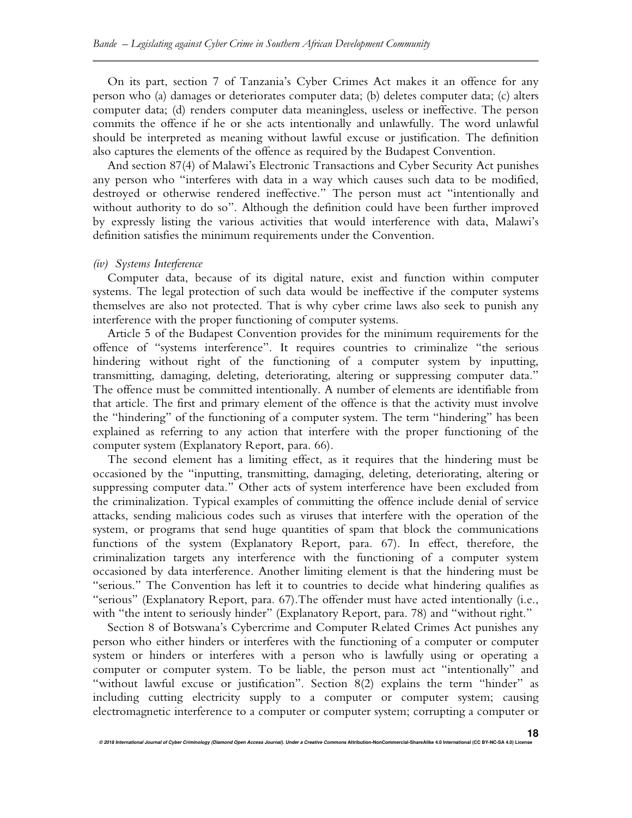On its part, section 7 of Tanzania's Cyber Crimes Act makes it an offence for any person who (a) damages or deteriorates computer data; (b) deletes computer data; (c) alters computer data; (d) renders computer data meaningless, useless or ineffective. The person commits the offence if he or she acts intentionally and unlawfully. The word unlawful should be interpreted as meaning without lawful excuse or justification. The definition also captures the elements of the offence as required by the Budapest Convention.

And section 87(4) of Malawi's Electronic Transactions and Cyber Security Act punishes any person who "interferes with data in a way which causes such data to be modified, destroyed or otherwise rendered ineffective." The person must act "intentionally and without authority to do so". Although the definition could have been further improved by expressly listing the various activities that would interference with data, Malawi's definition satisfies the minimum requirements under the Convention.

#### *(iv) Systems Interference*

Computer data, because of its digital nature, exist and function within computer systems. The legal protection of such data would be ineffective if the computer systems themselves are also not protected. That is why cyber crime laws also seek to punish any interference with the proper functioning of computer systems.

Article 5 of the Budapest Convention provides for the minimum requirements for the offence of "systems interference". It requires countries to criminalize "the serious hindering without right of the functioning of a computer system by inputting, transmitting, damaging, deleting, deteriorating, altering or suppressing computer data." The offence must be committed intentionally. A number of elements are identifiable from that article. The first and primary element of the offence is that the activity must involve the "hindering" of the functioning of a computer system. The term "hindering" has been explained as referring to any action that interfere with the proper functioning of the computer system (Explanatory Report, para. 66).

The second element has a limiting effect, as it requires that the hindering must be occasioned by the "inputting, transmitting, damaging, deleting, deteriorating, altering or suppressing computer data." Other acts of system interference have been excluded from the criminalization. Typical examples of committing the offence include denial of service attacks, sending malicious codes such as viruses that interfere with the operation of the system, or programs that send huge quantities of spam that block the communications functions of the system (Explanatory Report, para. 67). In effect, therefore, the criminalization targets any interference with the functioning of a computer system occasioned by data interference. Another limiting element is that the hindering must be "serious." The Convention has left it to countries to decide what hindering qualifies as "serious" (Explanatory Report, para. 67).The offender must have acted intentionally (i.e., with "the intent to seriously hinder" (Explanatory Report, para. 78) and "without right."

Section 8 of Botswana's Cybercrime and Computer Related Crimes Act punishes any person who either hinders or interferes with the functioning of a computer or computer system or hinders or interferes with a person who is lawfully using or operating a computer or computer system. To be liable, the person must act "intentionally" and "without lawful excuse or justification". Section 8(2) explains the term "hinder" as including cutting electricity supply to a computer or computer system; causing electromagnetic interference to a computer or computer system; corrupting a computer or

**18**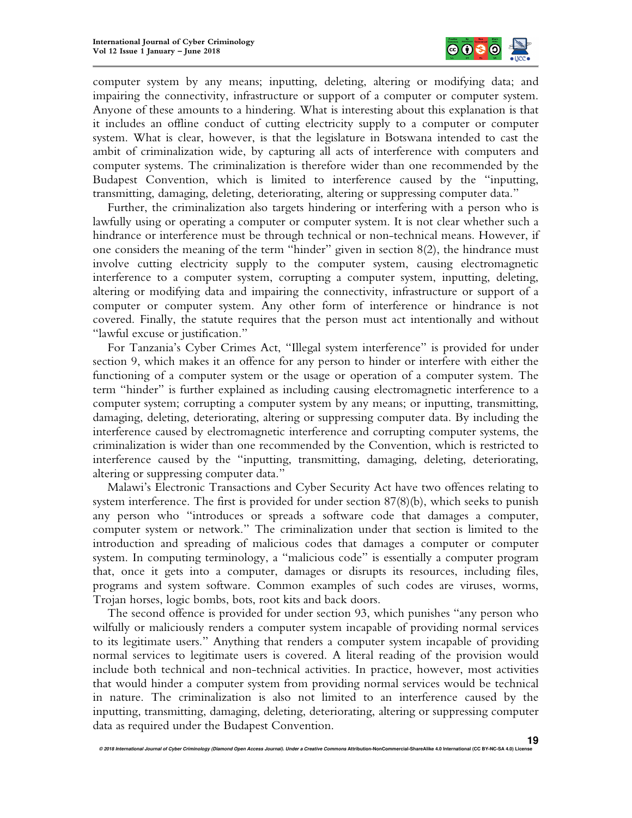

computer system by any means; inputting, deleting, altering or modifying data; and impairing the connectivity, infrastructure or support of a computer or computer system. Anyone of these amounts to a hindering. What is interesting about this explanation is that it includes an offline conduct of cutting electricity supply to a computer or computer system. What is clear, however, is that the legislature in Botswana intended to cast the ambit of criminalization wide, by capturing all acts of interference with computers and computer systems. The criminalization is therefore wider than one recommended by the Budapest Convention, which is limited to interference caused by the "inputting, transmitting, damaging, deleting, deteriorating, altering or suppressing computer data."

Further, the criminalization also targets hindering or interfering with a person who is lawfully using or operating a computer or computer system. It is not clear whether such a hindrance or interference must be through technical or non-technical means. However, if one considers the meaning of the term "hinder" given in section 8(2), the hindrance must involve cutting electricity supply to the computer system, causing electromagnetic interference to a computer system, corrupting a computer system, inputting, deleting, altering or modifying data and impairing the connectivity, infrastructure or support of a computer or computer system. Any other form of interference or hindrance is not covered. Finally, the statute requires that the person must act intentionally and without "lawful excuse or justification."

For Tanzania's Cyber Crimes Act, "Illegal system interference" is provided for under section 9, which makes it an offence for any person to hinder or interfere with either the functioning of a computer system or the usage or operation of a computer system. The term "hinder" is further explained as including causing electromagnetic interference to a computer system; corrupting a computer system by any means; or inputting, transmitting, damaging, deleting, deteriorating, altering or suppressing computer data. By including the interference caused by electromagnetic interference and corrupting computer systems, the criminalization is wider than one recommended by the Convention, which is restricted to interference caused by the "inputting, transmitting, damaging, deleting, deteriorating, altering or suppressing computer data."

Malawi's Electronic Transactions and Cyber Security Act have two offences relating to system interference. The first is provided for under section 87(8)(b), which seeks to punish any person who "introduces or spreads a software code that damages a computer, computer system or network." The criminalization under that section is limited to the introduction and spreading of malicious codes that damages a computer or computer system. In computing terminology, a "malicious code" is essentially a computer program that, once it gets into a computer, damages or disrupts its resources, including files, programs and system software. Common examples of such codes are viruses, worms, Trojan horses, logic bombs, bots, root kits and back doors.

The second offence is provided for under section 93, which punishes "any person who wilfully or maliciously renders a computer system incapable of providing normal services to its legitimate users." Anything that renders a computer system incapable of providing normal services to legitimate users is covered. A literal reading of the provision would include both technical and non-technical activities. In practice, however, most activities that would hinder a computer system from providing normal services would be technical in nature. The criminalization is also not limited to an interference caused by the inputting, transmitting, damaging, deleting, deteriorating, altering or suppressing computer data as required under the Budapest Convention.

**© 2018 International Journal of Cyber Criminology (Diamond Open Access Journal). Under a Creative Commons Attribution-NonCommercial-ShareAlike 4.0 International (CC BY-NC-SA 4.0) License**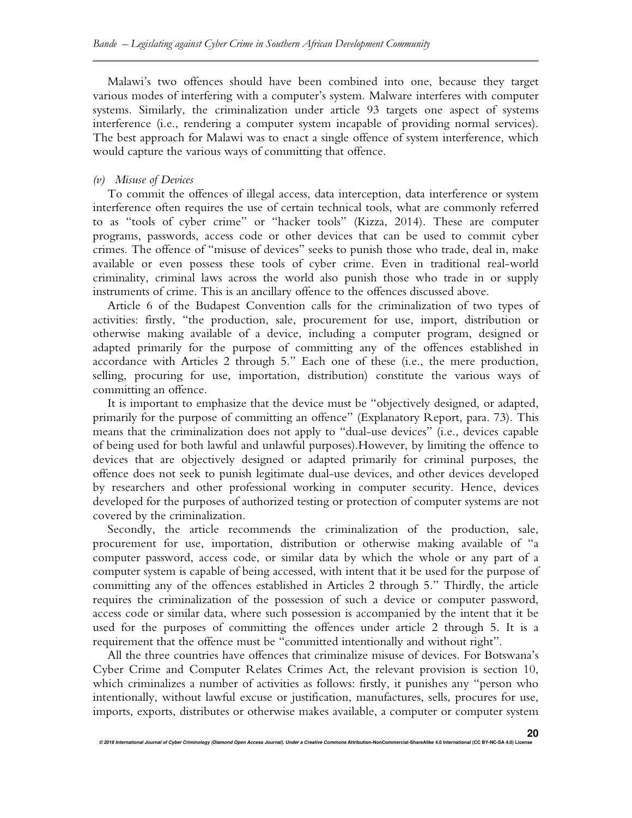Malawi's two offences should have been combined into one, because they target various modes of interfering with a computer's system. Malware interferes with computer systems. Similarly, the criminalization under article 93 targets one aspect of systems interference (i.e., rendering a computer system incapable of providing normal services). The best approach for Malawi was to enact a single offence of system interference, which would capture the various ways of committing that offence.

### *(v) Misuse of Devices*

To commit the offences of illegal access, data interception, data interference or system interference often requires the use of certain technical tools, what are commonly referred to as "tools of cyber crime" or "hacker tools" (Kizza, 2014). These are computer programs, passwords, access code or other devices that can be used to commit cyber crimes. The offence of "misuse of devices" seeks to punish those who trade, deal in, make available or even possess these tools of cyber crime. Even in traditional real-world criminality, criminal laws across the world also punish those who trade in or supply instruments of crime. This is an ancillary offence to the offences discussed above.

Article 6 of the Budapest Convention calls for the criminalization of two types of activities: firstly, "the production, sale, procurement for use, import, distribution or otherwise making available of a device, including a computer program, designed or adapted primarily for the purpose of committing any of the offences established in accordance with Articles 2 through 5." Each one of these (i.e., the mere production, selling, procuring for use, importation, distribution) constitute the various ways of committing an offence.

It is important to emphasize that the device must be "objectively designed, or adapted, primarily for the purpose of committing an offence" (Explanatory Report, para. 73). This means that the criminalization does not apply to "dual-use devices" (i.e., devices capable of being used for both lawful and unlawful purposes).However, by limiting the offence to devices that are objectively designed or adapted primarily for criminal purposes, the offence does not seek to punish legitimate dual-use devices, and other devices developed by researchers and other professional working in computer security. Hence, devices developed for the purposes of authorized testing or protection of computer systems are not covered by the criminalization.

Secondly, the article recommends the criminalization of the production, sale, procurement for use, importation, distribution or otherwise making available of "a computer password, access code, or similar data by which the whole or any part of a computer system is capable of being accessed, with intent that it be used for the purpose of committing any of the offences established in Articles 2 through 5." Thirdly, the article requires the criminalization of the possession of such a device or computer password, access code or similar data, where such possession is accompanied by the intent that it be used for the purposes of committing the offences under article 2 through 5. It is a requirement that the offence must be "committed intentionally and without right".

All the three countries have offences that criminalize misuse of devices. For Botswana's Cyber Crime and Computer Relates Crimes Act, the relevant provision is section 10, which criminalizes a number of activities as follows: firstly, it punishes any "person who intentionally, without lawful excuse or justification, manufactures, sells, procures for use, imports, exports, distributes or otherwise makes available, a computer or computer system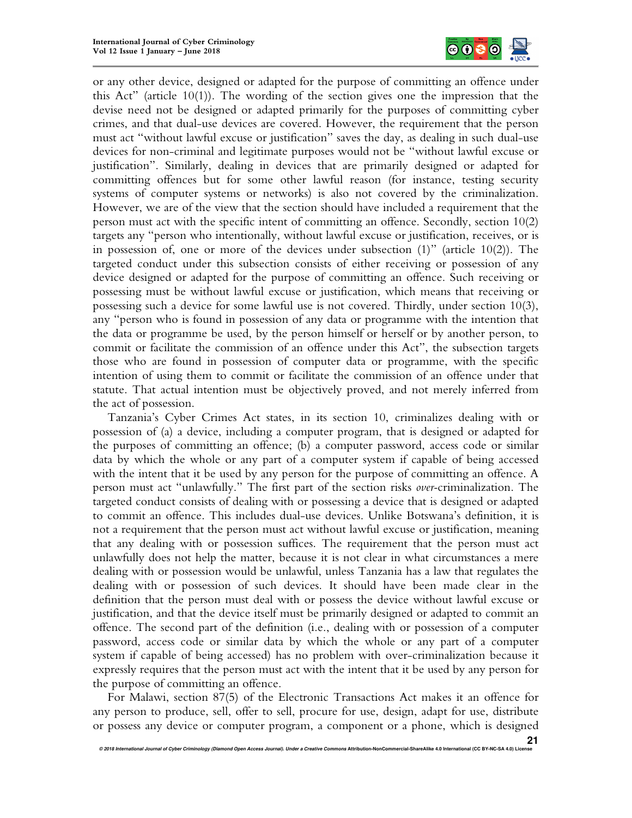

or any other device, designed or adapted for the purpose of committing an offence under this Act" (article 10(1)). The wording of the section gives one the impression that the devise need not be designed or adapted primarily for the purposes of committing cyber crimes, and that dual-use devices are covered. However, the requirement that the person must act "without lawful excuse or justification" saves the day, as dealing in such dual-use devices for non-criminal and legitimate purposes would not be "without lawful excuse or justification". Similarly, dealing in devices that are primarily designed or adapted for committing offences but for some other lawful reason (for instance, testing security systems of computer systems or networks) is also not covered by the criminalization. However, we are of the view that the section should have included a requirement that the person must act with the specific intent of committing an offence. Secondly, section 10(2) targets any "person who intentionally, without lawful excuse or justification, receives, or is in possession of, one or more of the devices under subsection (1)" (article 10(2)). The targeted conduct under this subsection consists of either receiving or possession of any device designed or adapted for the purpose of committing an offence. Such receiving or possessing must be without lawful excuse or justification, which means that receiving or possessing such a device for some lawful use is not covered. Thirdly, under section 10(3), any "person who is found in possession of any data or programme with the intention that the data or programme be used, by the person himself or herself or by another person, to commit or facilitate the commission of an offence under this Act", the subsection targets those who are found in possession of computer data or programme, with the specific intention of using them to commit or facilitate the commission of an offence under that statute. That actual intention must be objectively proved, and not merely inferred from the act of possession.

Tanzania's Cyber Crimes Act states, in its section 10, criminalizes dealing with or possession of (a) a device, including a computer program, that is designed or adapted for the purposes of committing an offence; (b) a computer password, access code or similar data by which the whole or any part of a computer system if capable of being accessed with the intent that it be used by any person for the purpose of committing an offence. A person must act "unlawfully." The first part of the section risks *over-*criminalization. The targeted conduct consists of dealing with or possessing a device that is designed or adapted to commit an offence. This includes dual-use devices. Unlike Botswana's definition, it is not a requirement that the person must act without lawful excuse or justification, meaning that any dealing with or possession suffices. The requirement that the person must act unlawfully does not help the matter, because it is not clear in what circumstances a mere dealing with or possession would be unlawful, unless Tanzania has a law that regulates the dealing with or possession of such devices. It should have been made clear in the definition that the person must deal with or possess the device without lawful excuse or justification, and that the device itself must be primarily designed or adapted to commit an offence. The second part of the definition (i.e., dealing with or possession of a computer password, access code or similar data by which the whole or any part of a computer system if capable of being accessed) has no problem with over-criminalization because it expressly requires that the person must act with the intent that it be used by any person for the purpose of committing an offence.

For Malawi, section 87(5) of the Electronic Transactions Act makes it an offence for any person to produce, sell, offer to sell, procure for use, design, adapt for use, distribute or possess any device or computer program, a component or a phone, which is designed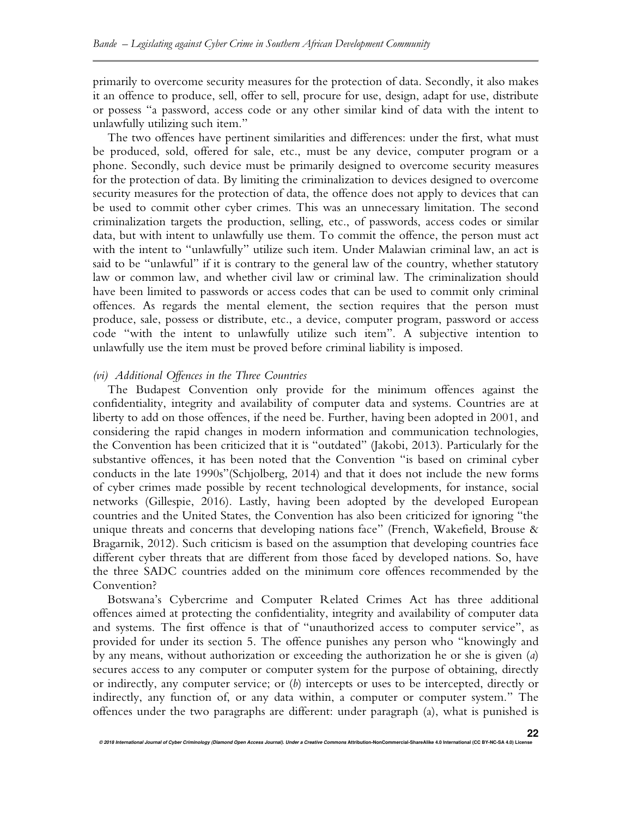primarily to overcome security measures for the protection of data. Secondly, it also makes it an offence to produce, sell, offer to sell, procure for use, design, adapt for use, distribute or possess "a password, access code or any other similar kind of data with the intent to unlawfully utilizing such item."

The two offences have pertinent similarities and differences: under the first, what must be produced, sold, offered for sale, etc., must be any device, computer program or a phone. Secondly, such device must be primarily designed to overcome security measures for the protection of data. By limiting the criminalization to devices designed to overcome security measures for the protection of data, the offence does not apply to devices that can be used to commit other cyber crimes. This was an unnecessary limitation. The second criminalization targets the production, selling, etc., of passwords, access codes or similar data, but with intent to unlawfully use them. To commit the offence, the person must act with the intent to "unlawfully" utilize such item. Under Malawian criminal law, an act is said to be "unlawful" if it is contrary to the general law of the country, whether statutory law or common law, and whether civil law or criminal law. The criminalization should have been limited to passwords or access codes that can be used to commit only criminal offences. As regards the mental element, the section requires that the person must produce, sale, possess or distribute, etc., a device, computer program, password or access code "with the intent to unlawfully utilize such item". A subjective intention to unlawfully use the item must be proved before criminal liability is imposed.

## *(vi) Additional Offences in the Three Countries*

The Budapest Convention only provide for the minimum offences against the confidentiality, integrity and availability of computer data and systems. Countries are at liberty to add on those offences, if the need be. Further, having been adopted in 2001, and considering the rapid changes in modern information and communication technologies, the Convention has been criticized that it is "outdated" (Jakobi, 2013). Particularly for the substantive offences, it has been noted that the Convention "is based on criminal cyber conducts in the late 1990s"(Schjolberg, 2014) and that it does not include the new forms of cyber crimes made possible by recent technological developments, for instance, social networks (Gillespie, 2016). Lastly, having been adopted by the developed European countries and the United States, the Convention has also been criticized for ignoring "the unique threats and concerns that developing nations face" (French, Wakefield, Brouse & Bragarnik, 2012). Such criticism is based on the assumption that developing countries face different cyber threats that are different from those faced by developed nations. So, have the three SADC countries added on the minimum core offences recommended by the Convention?

Botswana's Cybercrime and Computer Related Crimes Act has three additional offences aimed at protecting the confidentiality, integrity and availability of computer data and systems. The first offence is that of "unauthorized access to computer service", as provided for under its section 5. The offence punishes any person who "knowingly and by any means, without authorization or exceeding the authorization he or she is given (*a*) secures access to any computer or computer system for the purpose of obtaining, directly or indirectly, any computer service; or (*b*) intercepts or uses to be intercepted, directly or indirectly, any function of, or any data within, a computer or computer system." The offences under the two paragraphs are different: under paragraph (a), what is punished is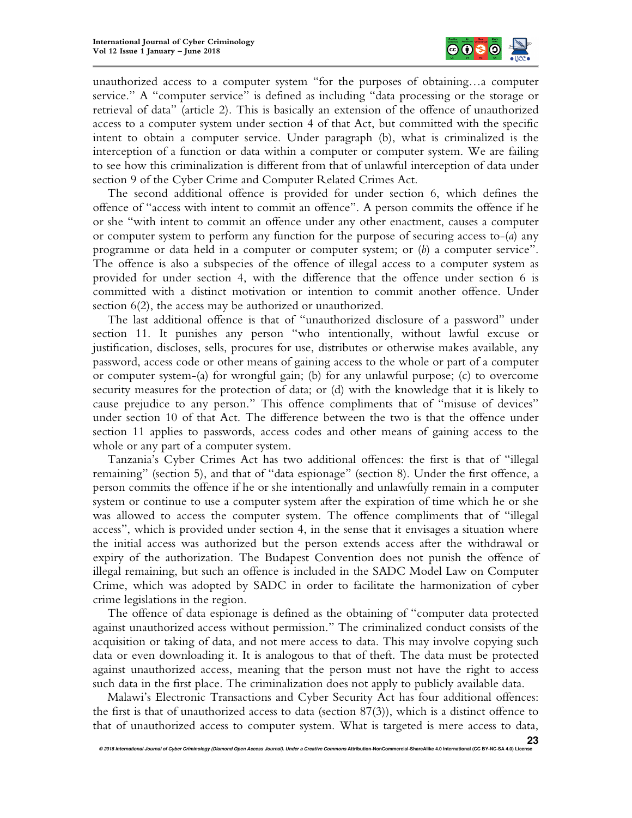

unauthorized access to a computer system "for the purposes of obtaining…a computer service." A "computer service" is defined as including "data processing or the storage or retrieval of data" (article 2). This is basically an extension of the offence of unauthorized access to a computer system under section 4 of that Act, but committed with the specific intent to obtain a computer service. Under paragraph (b), what is criminalized is the interception of a function or data within a computer or computer system. We are failing to see how this criminalization is different from that of unlawful interception of data under section 9 of the Cyber Crime and Computer Related Crimes Act.

The second additional offence is provided for under section 6, which defines the offence of "access with intent to commit an offence". A person commits the offence if he or she "with intent to commit an offence under any other enactment, causes a computer or computer system to perform any function for the purpose of securing access to-(*a*) any programme or data held in a computer or computer system; or (*b*) a computer service". The offence is also a subspecies of the offence of illegal access to a computer system as provided for under section 4, with the difference that the offence under section 6 is committed with a distinct motivation or intention to commit another offence. Under section 6(2), the access may be authorized or unauthorized.

The last additional offence is that of "unauthorized disclosure of a password" under section 11. It punishes any person "who intentionally, without lawful excuse or justification, discloses, sells, procures for use, distributes or otherwise makes available, any password, access code or other means of gaining access to the whole or part of a computer or computer system-(a) for wrongful gain; (b) for any unlawful purpose; (c) to overcome security measures for the protection of data; or (d) with the knowledge that it is likely to cause prejudice to any person." This offence compliments that of "misuse of devices" under section 10 of that Act. The difference between the two is that the offence under section 11 applies to passwords, access codes and other means of gaining access to the whole or any part of a computer system.

Tanzania's Cyber Crimes Act has two additional offences: the first is that of "illegal remaining" (section 5), and that of "data espionage" (section 8). Under the first offence, a person commits the offence if he or she intentionally and unlawfully remain in a computer system or continue to use a computer system after the expiration of time which he or she was allowed to access the computer system. The offence compliments that of "illegal access", which is provided under section 4, in the sense that it envisages a situation where the initial access was authorized but the person extends access after the withdrawal or expiry of the authorization. The Budapest Convention does not punish the offence of illegal remaining, but such an offence is included in the SADC Model Law on Computer Crime, which was adopted by SADC in order to facilitate the harmonization of cyber crime legislations in the region.

The offence of data espionage is defined as the obtaining of "computer data protected against unauthorized access without permission." The criminalized conduct consists of the acquisition or taking of data, and not mere access to data. This may involve copying such data or even downloading it. It is analogous to that of theft. The data must be protected against unauthorized access, meaning that the person must not have the right to access such data in the first place. The criminalization does not apply to publicly available data.

Malawi's Electronic Transactions and Cyber Security Act has four additional offences: the first is that of unauthorized access to data (section 87(3)), which is a distinct offence to that of unauthorized access to computer system. What is targeted is mere access to data,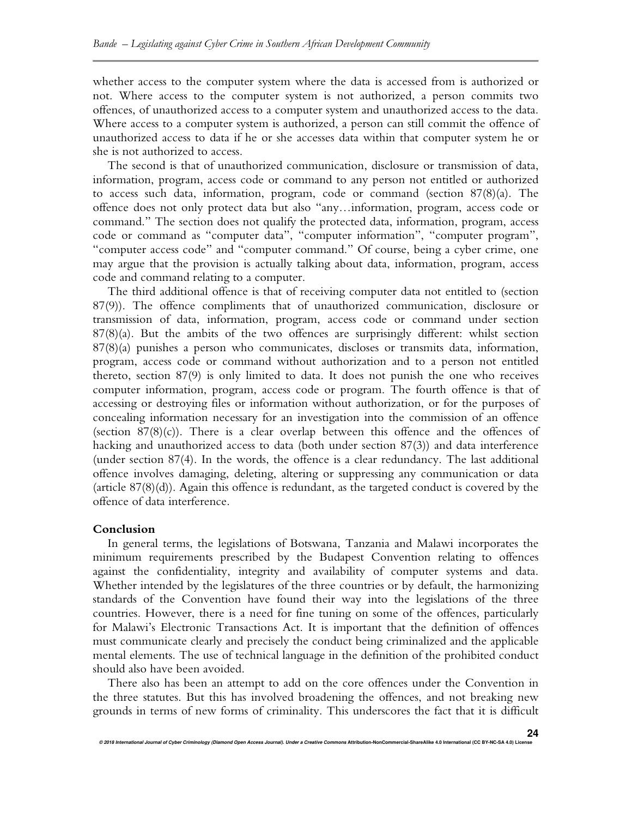whether access to the computer system where the data is accessed from is authorized or not. Where access to the computer system is not authorized, a person commits two offences, of unauthorized access to a computer system and unauthorized access to the data. Where access to a computer system is authorized, a person can still commit the offence of unauthorized access to data if he or she accesses data within that computer system he or she is not authorized to access.

The second is that of unauthorized communication, disclosure or transmission of data, information, program, access code or command to any person not entitled or authorized to access such data, information, program, code or command (section 87(8)(a). The offence does not only protect data but also "any…information, program, access code or command." The section does not qualify the protected data, information, program, access code or command as "computer data", "computer information", "computer program", "computer access code" and "computer command." Of course, being a cyber crime, one may argue that the provision is actually talking about data, information, program, access code and command relating to a computer.

The third additional offence is that of receiving computer data not entitled to (section 87(9)). The offence compliments that of unauthorized communication, disclosure or transmission of data, information, program, access code or command under section 87(8)(a). But the ambits of the two offences are surprisingly different: whilst section 87(8)(a) punishes a person who communicates, discloses or transmits data, information, program, access code or command without authorization and to a person not entitled thereto, section 87(9) is only limited to data. It does not punish the one who receives computer information, program, access code or program. The fourth offence is that of accessing or destroying files or information without authorization, or for the purposes of concealing information necessary for an investigation into the commission of an offence (section  $87(8)(c)$ ). There is a clear overlap between this offence and the offences of hacking and unauthorized access to data (both under section 87(3)) and data interference (under section 87(4). In the words, the offence is a clear redundancy. The last additional offence involves damaging, deleting, altering or suppressing any communication or data (article 87(8)(d)). Again this offence is redundant, as the targeted conduct is covered by the offence of data interference.

## **Conclusion**

In general terms, the legislations of Botswana, Tanzania and Malawi incorporates the minimum requirements prescribed by the Budapest Convention relating to offences against the confidentiality, integrity and availability of computer systems and data. Whether intended by the legislatures of the three countries or by default, the harmonizing standards of the Convention have found their way into the legislations of the three countries. However, there is a need for fine tuning on some of the offences, particularly for Malawi's Electronic Transactions Act. It is important that the definition of offences must communicate clearly and precisely the conduct being criminalized and the applicable mental elements. The use of technical language in the definition of the prohibited conduct should also have been avoided.

There also has been an attempt to add on the core offences under the Convention in the three statutes. But this has involved broadening the offences, and not breaking new grounds in terms of new forms of criminality. This underscores the fact that it is difficult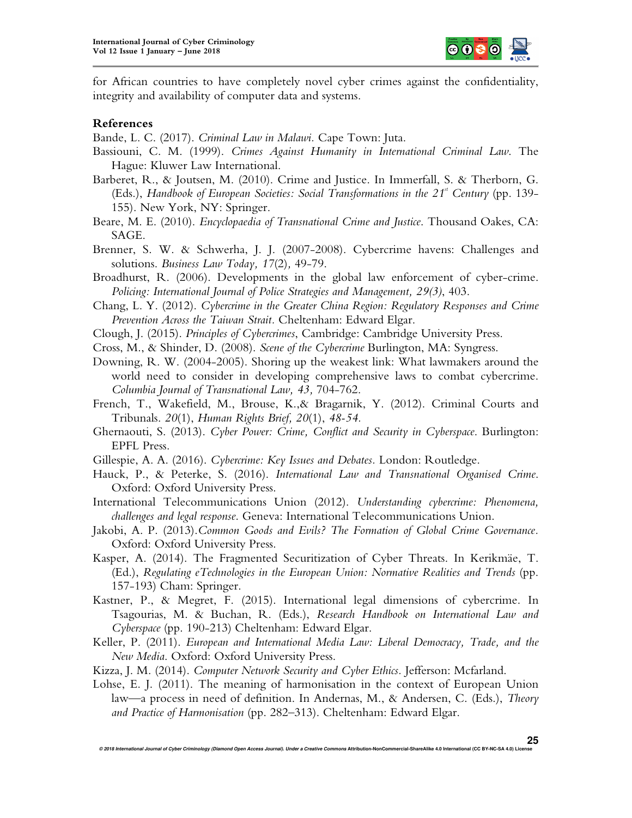

for African countries to have completely novel cyber crimes against the confidentiality, integrity and availability of computer data and systems.

## **References**

Bande, L. C. (2017). *Criminal Law in Malawi.* Cape Town: Juta.

- Bassiouni, C. M. (1999). *Crimes Against Humanity in International Criminal Law*. The Hague: Kluwer Law International.
- Barberet, R., & Joutsen, M. (2010). Crime and Justice. In Immerfall, S. & Therborn, G. (Eds.), *Handbook of European Societies: Social Transformations in the 21<sup><sup><i>st</sup>*</sup> Century (pp. 139–</sup> 155). New York, NY: Springer.
- Beare, M. E. (2010). *Encyclopaedia of Transnational Crime and Justice*. Thousand Oakes, CA: SAGE.
- Brenner, S. W. & Schwerha, J. J. (2007-2008). Cybercrime havens: Challenges and solutions. *Business Law Today, 17*(2)*,* 49-79.
- Broadhurst, R. (2006). Developments in the global law enforcement of cyber-crime. *Policing: International Journal of Police Strategies and Management, 29(3)*, 403.
- Chang, L. Y. (2012). *Cybercrime in the Greater China Region: Regulatory Responses and Crime Prevention Across the Taiwan Strait.* Cheltenham: Edward Elgar.
- Clough, J. (2015). *Principles of Cybercrimes*, Cambridge: Cambridge University Press.
- Cross, M., & Shinder, D. (2008). *Scene of the Cybercrime* Burlington, MA: Syngress.
- Downing, R. W. (2004-2005). Shoring up the weakest link: What lawmakers around the world need to consider in developing comprehensive laws to combat cybercrime. *Columbia Journal of Transnational Law, 43,* 704-762.
- French, T., Wakefield, M., Brouse, K.,& Bragarnik, Y. (2012). Criminal Courts and Tribunals. *20*(1), *Human Rights Brief, 20*(1), *48-54.*
- Ghernaouti, S. (2013). *Cyber Power: Crime, Conflict and Security in Cyberspace*. Burlington: EPFL Press.
- Gillespie, A. A. (2016). *Cybercrime: Key Issues and Debates.* London: Routledge.
- Hauck, P., & Peterke, S. (2016). *International Law and Transnational Organised Crime*. Oxford: Oxford University Press.
- International Telecommunications Union (2012). *Understanding cybercrime: Phenomena, challenges and legal response*. Geneva: International Telecommunications Union.
- Jakobi, A. P. (2013).*Common Goods and Evils? The Formation of Global Crime Governance.*  Oxford: Oxford University Press.
- Kasper, A. (2014). The Fragmented Securitization of Cyber Threats. In Kerikmäe, T. (Ed.), *Regulating eTechnologies in the European Union: Normative Realities and Trends* (pp. 157-193) Cham: Springer.
- Kastner, P., & Megret, F. (2015). International legal dimensions of cybercrime. In Tsagourias, M. & Buchan, R. (Eds.), *Research Handbook on International Law and Cyberspace* (pp. 190-213) Cheltenham: Edward Elgar.
- Keller, P. (2011). *European and International Media Law: Liberal Democracy, Trade, and the New Media*. Oxford: Oxford University Press.
- Kizza, J. M. (2014). *Computer Network Security and Cyber Ethics.* Jefferson: Mcfarland.
- Lohse, E. J. (2011). The meaning of harmonisation in the context of European Union law—a process in need of definition. In Andernas, M., & Andersen, C. (Eds.), *Theory and Practice of Harmonisation* (pp. 282–313). Cheltenham: Edward Elgar.